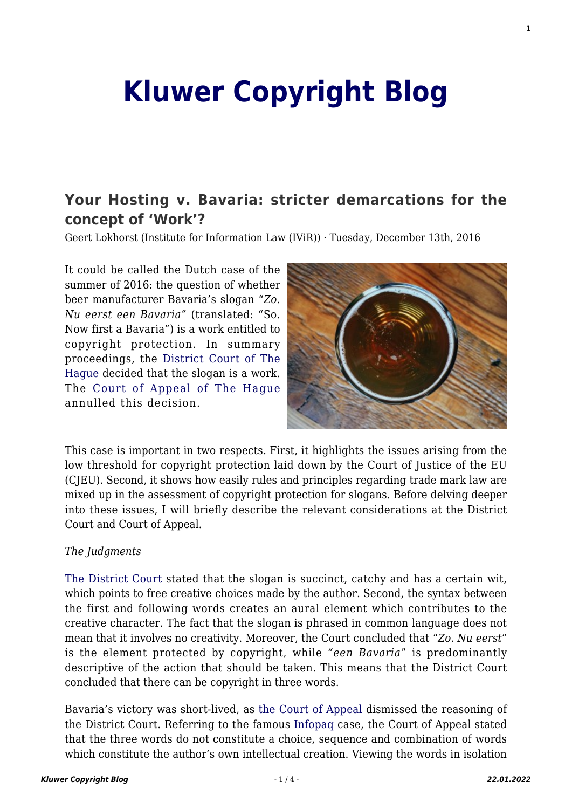# **[Kluwer Copyright Blog](http://copyrightblog.kluweriplaw.com/)**

# **[Your Hosting v. Bavaria: stricter demarcations for the](http://copyrightblog.kluweriplaw.com/2016/12/13/your-hosting-v-bavaria-stricter-demarcations-for-the-concept-of-work/) [concept of 'Work'?](http://copyrightblog.kluweriplaw.com/2016/12/13/your-hosting-v-bavaria-stricter-demarcations-for-the-concept-of-work/)**

Geert Lokhorst (Institute for Information Law (IViR)) · Tuesday, December 13th, 2016

It could be called the Dutch case of the summer of 2016: the question of whether beer manufacturer Bavaria's slogan "*Zo. Nu eerst een Bavaria"* (translated: "So. Now first a Bavaria") is a work entitled to copyright protection. In summary proceedings, the [District Court of The](http://uitspraken.rechtspraak.nl/inziendocument?id=ECLI:NL:RBDHA:2016:2608) [Hague](http://uitspraken.rechtspraak.nl/inziendocument?id=ECLI:NL:RBDHA:2016:2608) decided that the slogan is a work. The [Court of Appeal of The Hague](http://uitspraken.rechtspraak.nl/inziendocument?id=ECLI:NL:GHDHA:2016:2137) annulled this decision.



This case is important in two respects. First, it highlights the issues arising from the low threshold for copyright protection laid down by the Court of Justice of the EU (CJEU). Second, it shows how easily rules and principles regarding trade mark law are mixed up in the assessment of copyright protection for slogans. Before delving deeper into these issues, I will briefly describe the relevant considerations at the District Court and Court of Appeal.

# *The Judgments*

[The District Court](http://uitspraken.rechtspraak.nl/inziendocument?id=ECLI:NL:RBDHA:2016:2608) stated that the slogan is succinct, catchy and has a certain wit, which points to free creative choices made by the author. Second, the syntax between the first and following words creates an aural element which contributes to the creative character. The fact that the slogan is phrased in common language does not mean that it involves no creativity. Moreover, the Court concluded that "*Zo. Nu eerst*" is the element protected by copyright, while *"een Bavaria*" is predominantly descriptive of the action that should be taken. This means that the District Court concluded that there can be copyright in three words.

Bavaria's victory was short-lived, as [the Court of Appeal](http://uitspraken.rechtspraak.nl/inziendocument?id=ECLI:NL:GHDHA:2016:2137) dismissed the reasoning of the District Court. Referring to the famous [Infopaq](http://curia.europa.eu/juris/document/document.jsf?text=&docid=72482&pageIndex=0&doclang=EN&mode=lst&dir=&occ=first&part=1&cid=241982) case, the Court of Appeal stated that the three words do not constitute a choice, sequence and combination of words which constitute the author's own intellectual creation. Viewing the words in isolation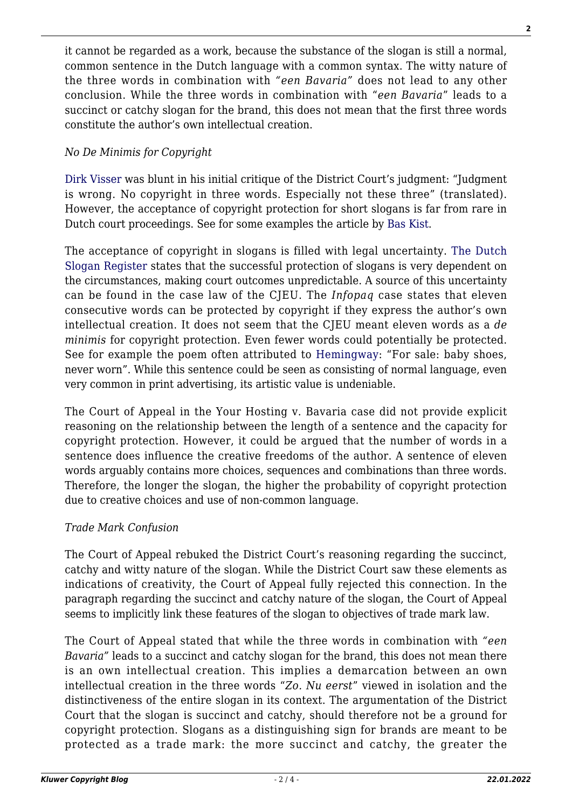it cannot be regarded as a work, because the substance of the slogan is still a normal, common sentence in the Dutch language with a common syntax. The witty nature of the three words in combination with *"een Bavaria"* does not lead to any other conclusion. While the three words in combination with "*een Bavaria*" leads to a succinct or catchy slogan for the brand, this does not mean that the first three words constitute the author's own intellectual creation.

# *No De Minimis for Copyright*

[Dirk Visser](http://www.ie-forum.nl/artikelen/zo-nu-eerst-een-annotatie) was blunt in his initial critique of the District Court's judgment: "Judgment is wrong. No copyright in three words. Especially not these three" (translated). However, the acceptance of copyright protection for short slogans is far from rare in Dutch court proceedings. See for some examples the article by [Bas Kist](https://www.nrc.nl/nieuws/2016/07/20/zo-nu-eerst-is-niet-origineel-3324406-a1512635).

The acceptance of copyright in slogans is filled with legal uncertainty. [The Dutch](http://www.gvr-slagzinnenregister.nl/gvrslagzinnenregister/het-register/) [Slogan Register](http://www.gvr-slagzinnenregister.nl/gvrslagzinnenregister/het-register/) states that the successful protection of slogans is very dependent on the circumstances, making court outcomes unpredictable. A source of this uncertainty can be found in the case law of the CJEU. The *Infopaq* case states that eleven consecutive words can be protected by copyright if they express the author's own intellectual creation. It does not seem that the CJEU meant eleven words as a *de minimis* for copyright protection. Even fewer words could potentially be protected. See for example the poem often attributed to [Hemingway](http://www.openculture.com/2015/03/the-urban-legend-of-ernest-hemingways-six-word-story.html): "For sale: baby shoes, never worn". While this sentence could be seen as consisting of normal language, even very common in print advertising, its artistic value is undeniable.

The Court of Appeal in the Your Hosting v. Bavaria case did not provide explicit reasoning on the relationship between the length of a sentence and the capacity for copyright protection. However, it could be argued that the number of words in a sentence does influence the creative freedoms of the author. A sentence of eleven words arguably contains more choices, sequences and combinations than three words. Therefore, the longer the slogan, the higher the probability of copyright protection due to creative choices and use of non-common language.

# *Trade Mark Confusion*

The Court of Appeal rebuked the District Court's reasoning regarding the succinct, catchy and witty nature of the slogan. While the District Court saw these elements as indications of creativity, the Court of Appeal fully rejected this connection. In the paragraph regarding the succinct and catchy nature of the slogan, the Court of Appeal seems to implicitly link these features of the slogan to objectives of trade mark law.

The Court of Appeal stated that while the three words in combination with *"een Bavaria"* leads to a succinct and catchy slogan for the brand, this does not mean there is an own intellectual creation. This implies a demarcation between an own intellectual creation in the three words "*Zo. Nu eerst*" viewed in isolation and the distinctiveness of the entire slogan in its context. The argumentation of the District Court that the slogan is succinct and catchy, should therefore not be a ground for copyright protection. Slogans as a distinguishing sign for brands are meant to be protected as a trade mark: the more succinct and catchy, the greater the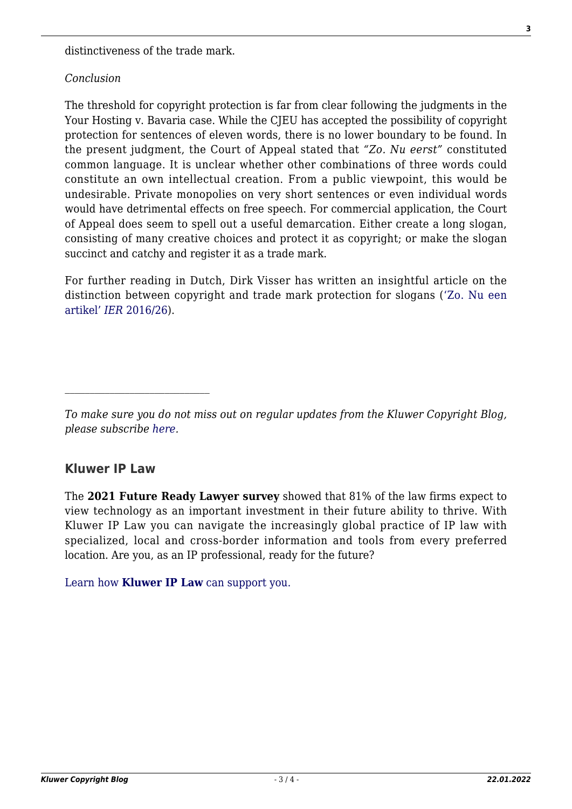distinctiveness of the trade mark.

#### *Conclusion*

The threshold for copyright protection is far from clear following the judgments in the Your Hosting v. Bavaria case. While the CJEU has accepted the possibility of copyright protection for sentences of eleven words, there is no lower boundary to be found. In the present judgment, the Court of Appeal stated that *"Zo. Nu eerst"* constituted common language. It is unclear whether other combinations of three words could constitute an own intellectual creation. From a public viewpoint, this would be undesirable. Private monopolies on very short sentences or even individual words would have detrimental effects on free speech. For commercial application, the Court of Appeal does seem to spell out a useful demarcation. Either create a long slogan, consisting of many creative choices and protect it as copyright; or make the slogan succinct and catchy and register it as a trade mark.

For further reading in Dutch, Dirk Visser has written an insightful article on the distinction between copyright and trade mark protection for slogans (['Zo. Nu een](https://www.boek9.nl/boek9-berichten/zo-nu-een-artikel) [artikel'](https://www.boek9.nl/boek9-berichten/zo-nu-een-artikel) *[IER](https://www.boek9.nl/boek9-berichten/zo-nu-een-artikel)* [2016/26](https://www.boek9.nl/boek9-berichten/zo-nu-een-artikel)).

# **Kluwer IP Law**

The **2021 Future Ready Lawyer survey** showed that 81% of the law firms expect to view technology as an important investment in their future ability to thrive. With Kluwer IP Law you can navigate the increasingly global practice of IP law with specialized, local and cross-border information and tools from every preferred location. Are you, as an IP professional, ready for the future?

[Learn how](https://www.wolterskluwer.com/en/solutions/kluweriplaw?utm_source=copyrightnblog&utm_medium=articleCTA&utm_campaign=article-banner) **[Kluwer IP Law](https://www.wolterskluwer.com/en/solutions/kluweriplaw?utm_source=copyrightnblog&utm_medium=articleCTA&utm_campaign=article-banner)** [can support you.](https://www.wolterskluwer.com/en/solutions/kluweriplaw?utm_source=copyrightnblog&utm_medium=articleCTA&utm_campaign=article-banner)

*To make sure you do not miss out on regular updates from the Kluwer Copyright Blog, please subscribe [here.](http://copyrightblog.kluweriplaw.com/newsletter)*